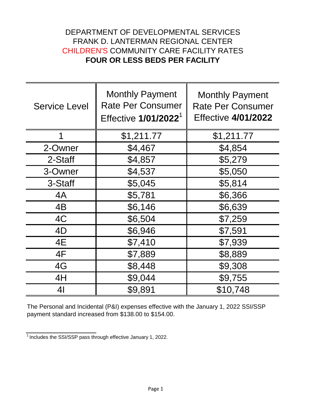## DEPARTMENT OF DEVELOPMENTAL SERVICES FRANK D. LANTERMAN REGIONAL CENTER CHILDREN'S COMMUNITY CARE FACILITY RATES **FOUR OR LESS BEDS PER FACILITY**

| <b>Service Level</b> | <b>Monthly Payment</b><br><b>Rate Per Consumer</b><br>Effective 1/01/2022 <sup>1</sup> | <b>Monthly Payment</b><br><b>Rate Per Consumer</b><br><b>Effective 4/01/2022</b> |
|----------------------|----------------------------------------------------------------------------------------|----------------------------------------------------------------------------------|
| 1                    | \$1,211.77                                                                             | \$1,211.77                                                                       |
| 2-Owner              | \$4,467                                                                                | \$4,854                                                                          |
| 2-Staff              | \$4,857                                                                                | \$5,279                                                                          |
| 3-Owner              | \$4,537                                                                                | \$5,050                                                                          |
| 3-Staff              | \$5,045                                                                                | \$5,814                                                                          |
| 4A                   | \$5,781                                                                                | \$6,366                                                                          |
| 4B                   | \$6,146                                                                                | \$6,639                                                                          |
| 4C                   | \$6,504                                                                                | \$7,259                                                                          |
| 4D                   | \$6,946                                                                                | \$7,591                                                                          |
| 4E                   | \$7,410                                                                                | \$7,939                                                                          |
| 4F                   | \$7,889                                                                                | \$8,889                                                                          |
| 4G                   | \$8,448                                                                                | \$9,308                                                                          |
| 4H                   | \$9,044                                                                                | \$9,755                                                                          |
| 4 <sub>l</sub>       | \$9,891                                                                                | \$10,748                                                                         |

The Personal and Incidental (P&I) expenses effective with the January 1, 2022 SSI/SSP payment standard increased from \$138.00 to \$154.00.

 $\frac{1}{1}$  Includes the SSI/SSP pass through effective January 1, 2022.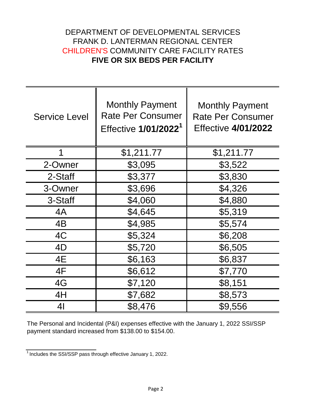## DEPARTMENT OF DEVELOPMENTAL SERVICES FRANK D. LANTERMAN REGIONAL CENTER CHILDREN'S COMMUNITY CARE FACILITY RATES **FIVE OR SIX BEDS PER FACILITY**

| <b>Service Level</b> | <b>Monthly Payment</b><br><b>Rate Per Consumer</b><br>Effective 1/01/2022 <sup>1</sup> | <b>Monthly Payment</b><br><b>Rate Per Consumer</b><br><b>Effective 4/01/2022</b> |
|----------------------|----------------------------------------------------------------------------------------|----------------------------------------------------------------------------------|
| 1                    | \$1,211.77                                                                             | \$1,211.77                                                                       |
| 2-Owner              | \$3,095                                                                                | \$3,522                                                                          |
| 2-Staff              | \$3,377                                                                                | \$3,830                                                                          |
| 3-Owner              | \$3,696                                                                                | \$4,326                                                                          |
| 3-Staff              | \$4,060                                                                                | \$4,880                                                                          |
| 4A                   | \$4,645                                                                                | \$5,319                                                                          |
| 4B                   | \$4,985                                                                                | \$5,574                                                                          |
| 4C                   | \$5,324                                                                                | \$6,208                                                                          |
| 4D                   | \$5,720                                                                                | \$6,505                                                                          |
| 4E                   | \$6,163                                                                                | \$6,837                                                                          |
| 4F                   | \$6,612                                                                                | \$7,770                                                                          |
| 4G                   | \$7,120                                                                                | \$8,151                                                                          |
| 4H                   | \$7,682                                                                                | \$8,573                                                                          |
| 41                   | \$8,476                                                                                | \$9,556                                                                          |

The Personal and Incidental (P&I) expenses effective with the January 1, 2022 SSI/SSP payment standard increased from \$138.00 to \$154.00.

 $\frac{1}{1}$  Includes the SSI/SSP pass through effective January 1, 2022.